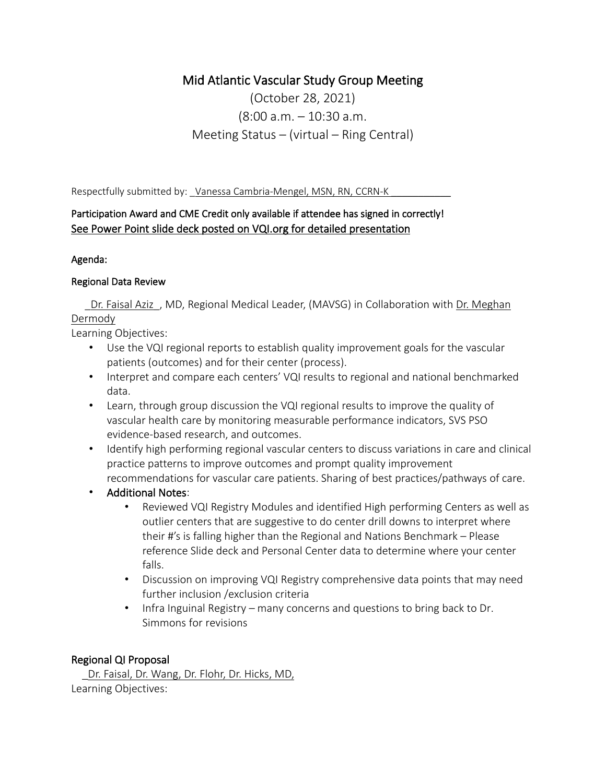# Mid Atlantic Vascular Study Group Meeting

(October 28, 2021) (8:00 a.m. – 10:30 a.m. Meeting Status – (virtual – Ring Central)

Respectfully submitted by: \_Vanessa Cambria-Mengel, MSN, RN, CCRN-K

## Participation Award and CME Credit only available if attendee has signed in correctly! See Power Point slide deck posted on VQI.org for detailed presentation

## Agenda:

## Regional Data Review

**\_Dr. Faisal Aziz**, MD, Regional Medical Leader, (MAVSG) in Collaboration with Dr. Meghan Dermody

Learning Objectives:

- Use the VQI regional reports to establish quality improvement goals for the vascular patients (outcomes) and for their center (process).
- Interpret and compare each centers' VQI results to regional and national benchmarked data.
- Learn, through group discussion the VQI regional results to improve the quality of vascular health care by monitoring measurable performance indicators, SVS PSO evidence-based research, and outcomes.
- Identify high performing regional vascular centers to discuss variations in care and clinical practice patterns to improve outcomes and prompt quality improvement recommendations for vascular care patients. Sharing of best practices/pathways of care.
- Additional Notes:
	- Reviewed VQI Registry Modules and identified High performing Centers as well as outlier centers that are suggestive to do center drill downs to interpret where their #'s is falling higher than the Regional and Nations Benchmark – Please reference Slide deck and Personal Center data to determine where your center falls.
	- Discussion on improving VQI Registry comprehensive data points that may need further inclusion /exclusion criteria
	- Infra Inguinal Registry many concerns and questions to bring back to Dr. Simmons for revisions

## Regional QI Proposal

 \_Dr. Faisal, Dr. Wang, Dr. Flohr, Dr. Hicks, MD, Learning Objectives: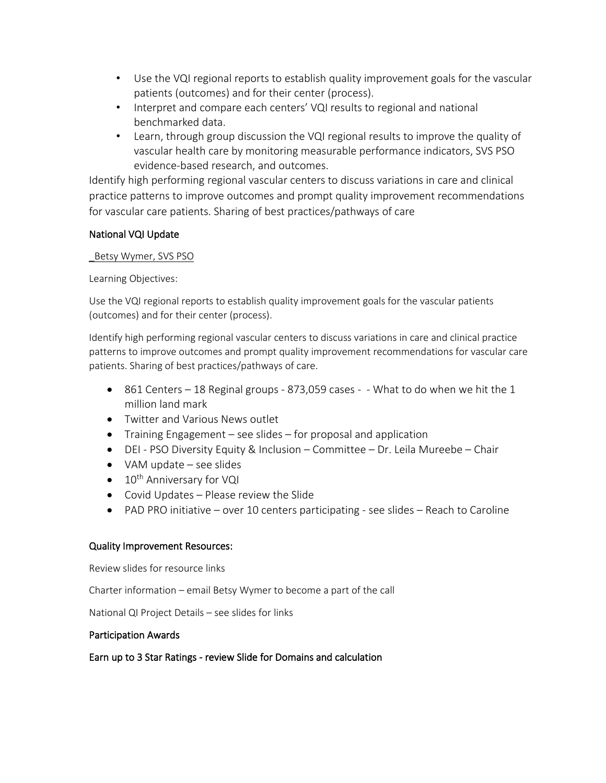- Use the VQI regional reports to establish quality improvement goals for the vascular patients (outcomes) and for their center (process).
- Interpret and compare each centers' VQI results to regional and national benchmarked data.
- Learn, through group discussion the VQI regional results to improve the quality of vascular health care by monitoring measurable performance indicators, SVS PSO evidence-based research, and outcomes.

Identify high performing regional vascular centers to discuss variations in care and clinical practice patterns to improve outcomes and prompt quality improvement recommendations for vascular care patients. Sharing of best practices/pathways of care

## National VQI Update

#### \_Betsy Wymer, SVS PSO

Learning Objectives:

Use the VQI regional reports to establish quality improvement goals for the vascular patients (outcomes) and for their center (process).

Identify high performing regional vascular centers to discuss variations in care and clinical practice patterns to improve outcomes and prompt quality improvement recommendations for vascular care patients. Sharing of best practices/pathways of care.

- 861 Centers 18 Reginal groups 873,059 cases - What to do when we hit the 1 million land mark
- Twitter and Various News outlet
- Training Engagement see slides for proposal and application
- DEI PSO Diversity Equity & Inclusion Committee Dr. Leila Mureebe Chair
- VAM update see slides
- 10<sup>th</sup> Anniversary for VQI
- Covid Updates Please review the Slide
- PAD PRO initiative over 10 centers participating see slides Reach to Caroline

#### Quality Improvement Resources:

Review slides for resource links

Charter information – email Betsy Wymer to become a part of the call

National QI Project Details – see slides for links

#### Participation Awards

#### Earn up to 3 Star Ratings - review Slide for Domains and calculation